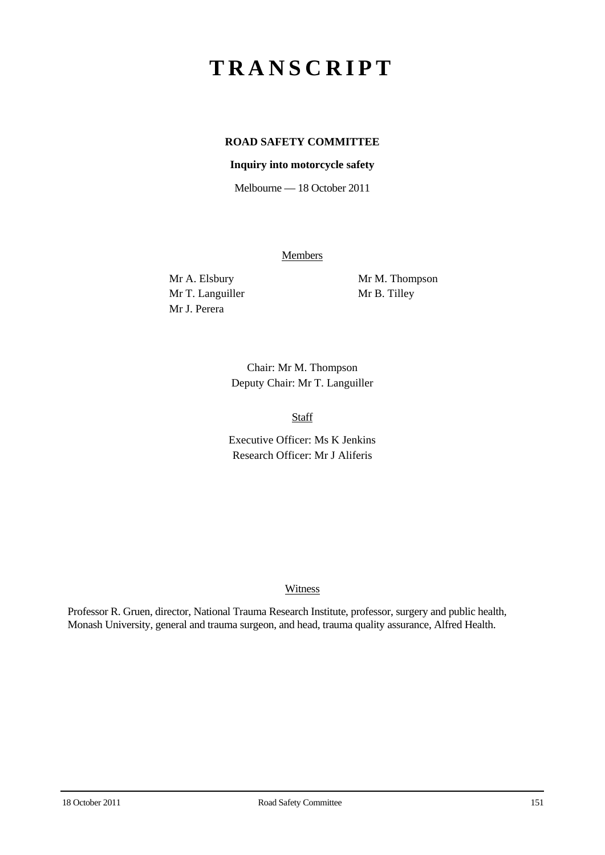# **TRANSCRIPT**

## **ROAD SAFETY COMMITTEE**

#### **Inquiry into motorcycle safety**

Melbourne — 18 October 2011

**Members** 

Mr T. Languiller Mr B. Tilley Mr J. Perera

Mr A. Elsbury Mr M. Thompson

Chair: Mr M. Thompson Deputy Chair: Mr T. Languiller

Staff

Executive Officer: Ms K Jenkins Research Officer: Mr J Aliferis

#### **Witness**

Professor R. Gruen, director, National Trauma Research Institute, professor, surgery and public health, Monash University, general and trauma surgeon, and head, trauma quality assurance, Alfred Health.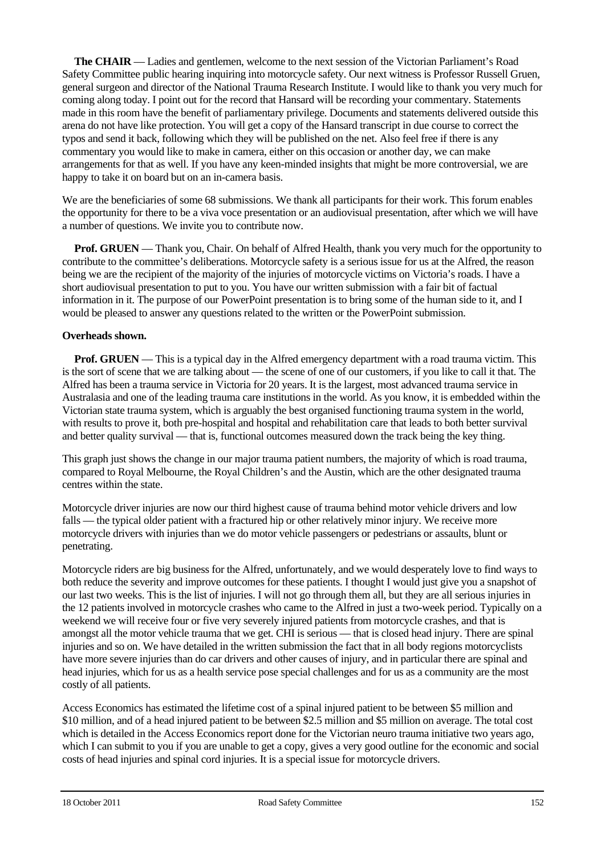**The CHAIR** — Ladies and gentlemen, welcome to the next session of the Victorian Parliament's Road Safety Committee public hearing inquiring into motorcycle safety. Our next witness is Professor Russell Gruen, general surgeon and director of the National Trauma Research Institute. I would like to thank you very much for coming along today. I point out for the record that Hansard will be recording your commentary. Statements made in this room have the benefit of parliamentary privilege. Documents and statements delivered outside this arena do not have like protection. You will get a copy of the Hansard transcript in due course to correct the typos and send it back, following which they will be published on the net. Also feel free if there is any commentary you would like to make in camera, either on this occasion or another day, we can make arrangements for that as well. If you have any keen-minded insights that might be more controversial, we are happy to take it on board but on an in-camera basis.

We are the beneficiaries of some 68 submissions. We thank all participants for their work. This forum enables the opportunity for there to be a viva voce presentation or an audiovisual presentation, after which we will have a number of questions. We invite you to contribute now.

**Prof. GRUEN** — Thank you, Chair. On behalf of Alfred Health, thank you very much for the opportunity to contribute to the committee's deliberations. Motorcycle safety is a serious issue for us at the Alfred, the reason being we are the recipient of the majority of the injuries of motorcycle victims on Victoria's roads. I have a short audiovisual presentation to put to you. You have our written submission with a fair bit of factual information in it. The purpose of our PowerPoint presentation is to bring some of the human side to it, and I would be pleased to answer any questions related to the written or the PowerPoint submission.

#### **Overheads shown.**

**Prof. GRUEN** — This is a typical day in the Alfred emergency department with a road trauma victim. This is the sort of scene that we are talking about — the scene of one of our customers, if you like to call it that. The Alfred has been a trauma service in Victoria for 20 years. It is the largest, most advanced trauma service in Australasia and one of the leading trauma care institutions in the world. As you know, it is embedded within the Victorian state trauma system, which is arguably the best organised functioning trauma system in the world, with results to prove it, both pre-hospital and hospital and rehabilitation care that leads to both better survival and better quality survival — that is, functional outcomes measured down the track being the key thing.

This graph just shows the change in our major trauma patient numbers, the majority of which is road trauma, compared to Royal Melbourne, the Royal Children's and the Austin, which are the other designated trauma centres within the state.

Motorcycle driver injuries are now our third highest cause of trauma behind motor vehicle drivers and low falls — the typical older patient with a fractured hip or other relatively minor injury. We receive more motorcycle drivers with injuries than we do motor vehicle passengers or pedestrians or assaults, blunt or penetrating.

Motorcycle riders are big business for the Alfred, unfortunately, and we would desperately love to find ways to both reduce the severity and improve outcomes for these patients. I thought I would just give you a snapshot of our last two weeks. This is the list of injuries. I will not go through them all, but they are all serious injuries in the 12 patients involved in motorcycle crashes who came to the Alfred in just a two-week period. Typically on a weekend we will receive four or five very severely injured patients from motorcycle crashes, and that is amongst all the motor vehicle trauma that we get. CHI is serious — that is closed head injury. There are spinal injuries and so on. We have detailed in the written submission the fact that in all body regions motorcyclists have more severe injuries than do car drivers and other causes of injury, and in particular there are spinal and head injuries, which for us as a health service pose special challenges and for us as a community are the most costly of all patients.

Access Economics has estimated the lifetime cost of a spinal injured patient to be between \$5 million and \$10 million, and of a head injured patient to be between \$2.5 million and \$5 million on average. The total cost which is detailed in the Access Economics report done for the Victorian neuro trauma initiative two years ago, which I can submit to you if you are unable to get a copy, gives a very good outline for the economic and social costs of head injuries and spinal cord injuries. It is a special issue for motorcycle drivers.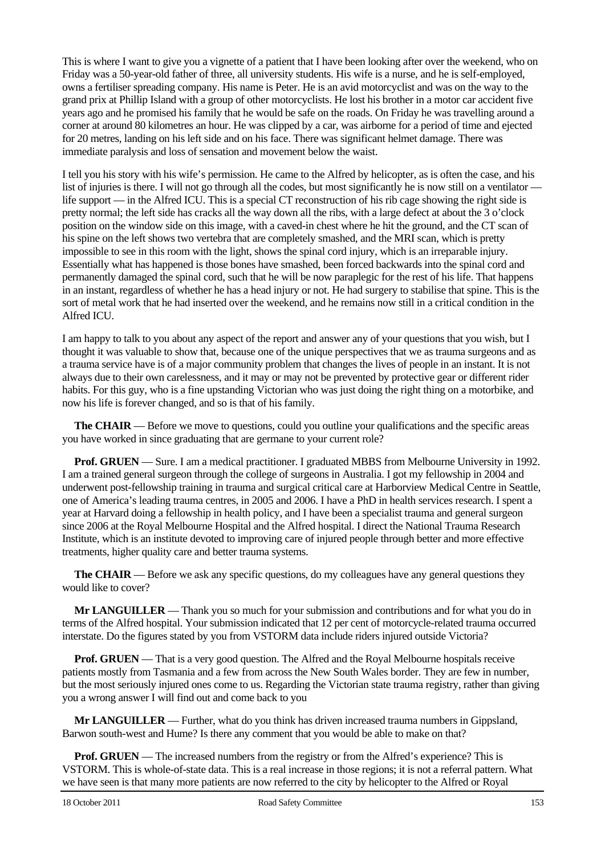This is where I want to give you a vignette of a patient that I have been looking after over the weekend, who on Friday was a 50-year-old father of three, all university students. His wife is a nurse, and he is self-employed, owns a fertiliser spreading company. His name is Peter. He is an avid motorcyclist and was on the way to the grand prix at Phillip Island with a group of other motorcyclists. He lost his brother in a motor car accident five years ago and he promised his family that he would be safe on the roads. On Friday he was travelling around a corner at around 80 kilometres an hour. He was clipped by a car, was airborne for a period of time and ejected for 20 metres, landing on his left side and on his face. There was significant helmet damage. There was immediate paralysis and loss of sensation and movement below the waist.

I tell you his story with his wife's permission. He came to the Alfred by helicopter, as is often the case, and his list of injuries is there. I will not go through all the codes, but most significantly he is now still on a ventilator life support — in the Alfred ICU. This is a special CT reconstruction of his rib cage showing the right side is pretty normal; the left side has cracks all the way down all the ribs, with a large defect at about the 3 o'clock position on the window side on this image, with a caved-in chest where he hit the ground, and the CT scan of his spine on the left shows two vertebra that are completely smashed, and the MRI scan, which is pretty impossible to see in this room with the light, shows the spinal cord injury, which is an irreparable injury. Essentially what has happened is those bones have smashed, been forced backwards into the spinal cord and permanently damaged the spinal cord, such that he will be now paraplegic for the rest of his life. That happens in an instant, regardless of whether he has a head injury or not. He had surgery to stabilise that spine. This is the sort of metal work that he had inserted over the weekend, and he remains now still in a critical condition in the Alfred **ICU.** 

I am happy to talk to you about any aspect of the report and answer any of your questions that you wish, but I thought it was valuable to show that, because one of the unique perspectives that we as trauma surgeons and as a trauma service have is of a major community problem that changes the lives of people in an instant. It is not always due to their own carelessness, and it may or may not be prevented by protective gear or different rider habits. For this guy, who is a fine upstanding Victorian who was just doing the right thing on a motorbike, and now his life is forever changed, and so is that of his family.

**The CHAIR** — Before we move to questions, could you outline your qualifications and the specific areas you have worked in since graduating that are germane to your current role?

**Prof. GRUEN** — Sure. I am a medical practitioner. I graduated MBBS from Melbourne University in 1992. I am a trained general surgeon through the college of surgeons in Australia. I got my fellowship in 2004 and underwent post-fellowship training in trauma and surgical critical care at Harborview Medical Centre in Seattle, one of America's leading trauma centres, in 2005 and 2006. I have a PhD in health services research. I spent a year at Harvard doing a fellowship in health policy, and I have been a specialist trauma and general surgeon since 2006 at the Royal Melbourne Hospital and the Alfred hospital. I direct the National Trauma Research Institute, which is an institute devoted to improving care of injured people through better and more effective treatments, higher quality care and better trauma systems.

**The CHAIR** — Before we ask any specific questions, do my colleagues have any general questions they would like to cover?

**Mr LANGUILLER** — Thank you so much for your submission and contributions and for what you do in terms of the Alfred hospital. Your submission indicated that 12 per cent of motorcycle-related trauma occurred interstate. Do the figures stated by you from VSTORM data include riders injured outside Victoria?

**Prof. GRUEN** — That is a very good question. The Alfred and the Royal Melbourne hospitals receive patients mostly from Tasmania and a few from across the New South Wales border. They are few in number, but the most seriously injured ones come to us. Regarding the Victorian state trauma registry, rather than giving you a wrong answer I will find out and come back to you

**Mr LANGUILLER** — Further, what do you think has driven increased trauma numbers in Gippsland, Barwon south-west and Hume? Is there any comment that you would be able to make on that?

**Prof. GRUEN** — The increased numbers from the registry or from the Alfred's experience? This is VSTORM. This is whole-of-state data. This is a real increase in those regions; it is not a referral pattern. What we have seen is that many more patients are now referred to the city by helicopter to the Alfred or Royal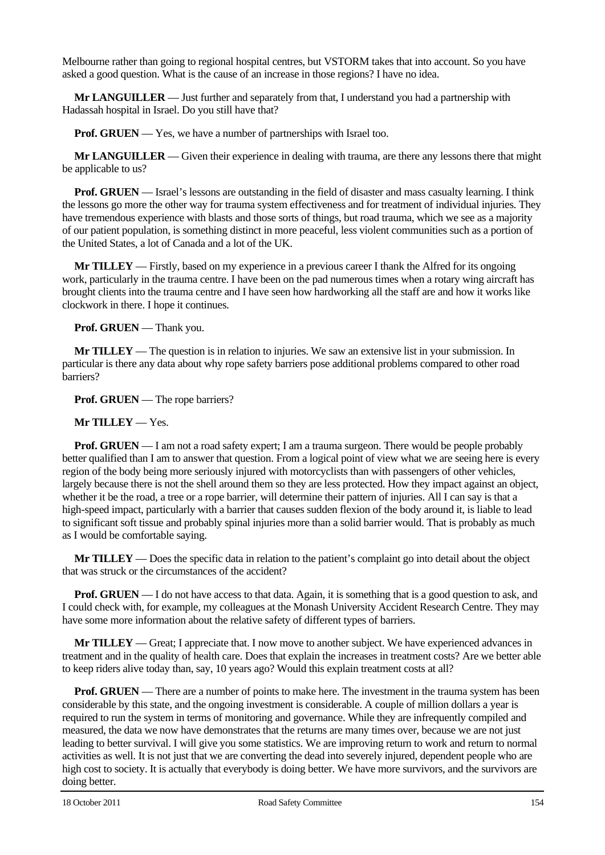Melbourne rather than going to regional hospital centres, but VSTORM takes that into account. So you have asked a good question. What is the cause of an increase in those regions? I have no idea.

**Mr LANGUILLER** — Just further and separately from that, I understand you had a partnership with Hadassah hospital in Israel. Do you still have that?

**Prof. GRUEN** — Yes, we have a number of partnerships with Israel too.

**Mr LANGUILLER** — Given their experience in dealing with trauma, are there any lessons there that might be applicable to us?

**Prof. GRUEN** — Israel's lessons are outstanding in the field of disaster and mass casualty learning. I think the lessons go more the other way for trauma system effectiveness and for treatment of individual injuries. They have tremendous experience with blasts and those sorts of things, but road trauma, which we see as a majority of our patient population, is something distinct in more peaceful, less violent communities such as a portion of the United States, a lot of Canada and a lot of the UK.

**Mr TILLEY** — Firstly, based on my experience in a previous career I thank the Alfred for its ongoing work, particularly in the trauma centre. I have been on the pad numerous times when a rotary wing aircraft has brought clients into the trauma centre and I have seen how hardworking all the staff are and how it works like clockwork in there. I hope it continues.

**Prof. GRUEN** — Thank you.

**Mr TILLEY** — The question is in relation to injuries. We saw an extensive list in your submission. In particular is there any data about why rope safety barriers pose additional problems compared to other road barriers?

**Prof. GRUEN** — The rope barriers?

#### **Mr TILLEY** — Yes.

**Prof. GRUEN** — I am not a road safety expert; I am a trauma surgeon. There would be people probably better qualified than I am to answer that question. From a logical point of view what we are seeing here is every region of the body being more seriously injured with motorcyclists than with passengers of other vehicles, largely because there is not the shell around them so they are less protected. How they impact against an object, whether it be the road, a tree or a rope barrier, will determine their pattern of injuries. All I can say is that a high-speed impact, particularly with a barrier that causes sudden flexion of the body around it, is liable to lead to significant soft tissue and probably spinal injuries more than a solid barrier would. That is probably as much as I would be comfortable saying.

**Mr TILLEY** — Does the specific data in relation to the patient's complaint go into detail about the object that was struck or the circumstances of the accident?

**Prof. GRUEN** — I do not have access to that data. Again, it is something that is a good question to ask, and I could check with, for example, my colleagues at the Monash University Accident Research Centre. They may have some more information about the relative safety of different types of barriers.

**Mr TILLEY** — Great; I appreciate that. I now move to another subject. We have experienced advances in treatment and in the quality of health care. Does that explain the increases in treatment costs? Are we better able to keep riders alive today than, say, 10 years ago? Would this explain treatment costs at all?

**Prof. GRUEN** — There are a number of points to make here. The investment in the trauma system has been considerable by this state, and the ongoing investment is considerable. A couple of million dollars a year is required to run the system in terms of monitoring and governance. While they are infrequently compiled and measured, the data we now have demonstrates that the returns are many times over, because we are not just leading to better survival. I will give you some statistics. We are improving return to work and return to normal activities as well. It is not just that we are converting the dead into severely injured, dependent people who are high cost to society. It is actually that everybody is doing better. We have more survivors, and the survivors are doing better.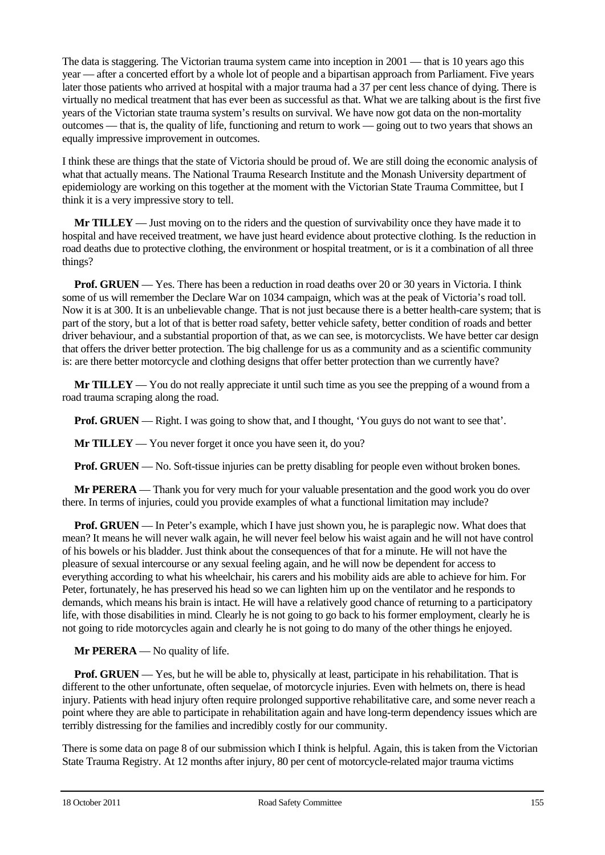The data is staggering. The Victorian trauma system came into inception in 2001 — that is 10 years ago this year — after a concerted effort by a whole lot of people and a bipartisan approach from Parliament. Five years later those patients who arrived at hospital with a major trauma had a 37 per cent less chance of dying. There is virtually no medical treatment that has ever been as successful as that. What we are talking about is the first five years of the Victorian state trauma system's results on survival. We have now got data on the non-mortality outcomes — that is, the quality of life, functioning and return to work — going out to two years that shows an equally impressive improvement in outcomes.

I think these are things that the state of Victoria should be proud of. We are still doing the economic analysis of what that actually means. The National Trauma Research Institute and the Monash University department of epidemiology are working on this together at the moment with the Victorian State Trauma Committee, but I think it is a very impressive story to tell.

**Mr TILLEY** — Just moving on to the riders and the question of survivability once they have made it to hospital and have received treatment, we have just heard evidence about protective clothing. Is the reduction in road deaths due to protective clothing, the environment or hospital treatment, or is it a combination of all three things?

**Prof. GRUEN** — Yes. There has been a reduction in road deaths over 20 or 30 years in Victoria. I think some of us will remember the Declare War on 1034 campaign, which was at the peak of Victoria's road toll. Now it is at 300. It is an unbelievable change. That is not just because there is a better health-care system; that is part of the story, but a lot of that is better road safety, better vehicle safety, better condition of roads and better driver behaviour, and a substantial proportion of that, as we can see, is motorcyclists. We have better car design that offers the driver better protection. The big challenge for us as a community and as a scientific community is: are there better motorcycle and clothing designs that offer better protection than we currently have?

**Mr TILLEY** — You do not really appreciate it until such time as you see the prepping of a wound from a road trauma scraping along the road.

**Prof. GRUEN** — Right. I was going to show that, and I thought, 'You guys do not want to see that'.

**Mr TILLEY** — You never forget it once you have seen it, do you?

**Prof. GRUEN** — No. Soft-tissue injuries can be pretty disabling for people even without broken bones.

**Mr PERERA** — Thank you for very much for your valuable presentation and the good work you do over there. In terms of injuries, could you provide examples of what a functional limitation may include?

**Prof. GRUEN** — In Peter's example, which I have just shown you, he is paraplegic now. What does that mean? It means he will never walk again, he will never feel below his waist again and he will not have control of his bowels or his bladder. Just think about the consequences of that for a minute. He will not have the pleasure of sexual intercourse or any sexual feeling again, and he will now be dependent for access to everything according to what his wheelchair, his carers and his mobility aids are able to achieve for him. For Peter, fortunately, he has preserved his head so we can lighten him up on the ventilator and he responds to demands, which means his brain is intact. He will have a relatively good chance of returning to a participatory life, with those disabilities in mind. Clearly he is not going to go back to his former employment, clearly he is not going to ride motorcycles again and clearly he is not going to do many of the other things he enjoyed.

**Mr PERERA** — No quality of life.

**Prof. GRUEN** — Yes, but he will be able to, physically at least, participate in his rehabilitation. That is different to the other unfortunate, often sequelae, of motorcycle injuries. Even with helmets on, there is head injury. Patients with head injury often require prolonged supportive rehabilitative care, and some never reach a point where they are able to participate in rehabilitation again and have long-term dependency issues which are terribly distressing for the families and incredibly costly for our community.

There is some data on page 8 of our submission which I think is helpful. Again, this is taken from the Victorian State Trauma Registry. At 12 months after injury, 80 per cent of motorcycle-related major trauma victims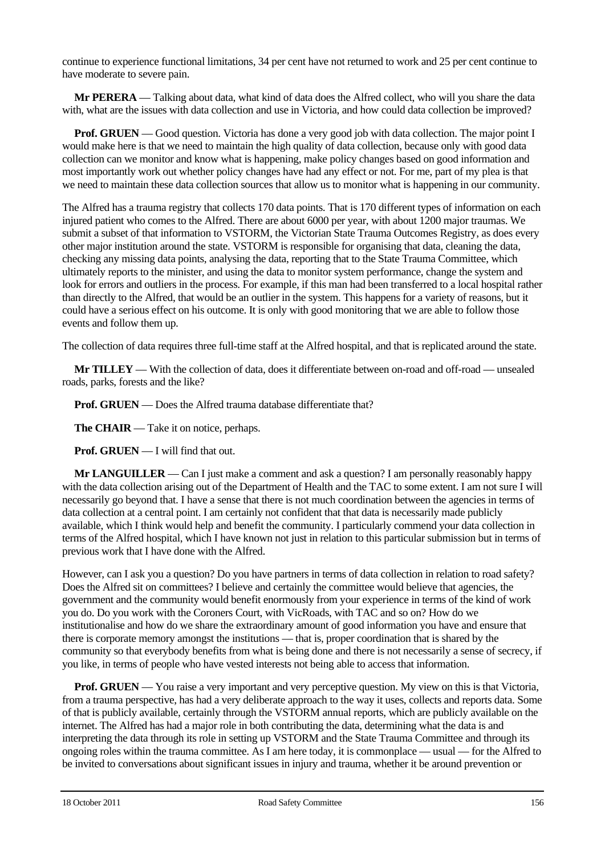continue to experience functional limitations, 34 per cent have not returned to work and 25 per cent continue to have moderate to severe pain.

**Mr PERERA** — Talking about data, what kind of data does the Alfred collect, who will you share the data with, what are the issues with data collection and use in Victoria, and how could data collection be improved?

**Prof. GRUEN** — Good question. Victoria has done a very good job with data collection. The major point I would make here is that we need to maintain the high quality of data collection, because only with good data collection can we monitor and know what is happening, make policy changes based on good information and most importantly work out whether policy changes have had any effect or not. For me, part of my plea is that we need to maintain these data collection sources that allow us to monitor what is happening in our community.

The Alfred has a trauma registry that collects 170 data points. That is 170 different types of information on each injured patient who comes to the Alfred. There are about 6000 per year, with about 1200 major traumas. We submit a subset of that information to VSTORM, the Victorian State Trauma Outcomes Registry, as does every other major institution around the state. VSTORM is responsible for organising that data, cleaning the data, checking any missing data points, analysing the data, reporting that to the State Trauma Committee, which ultimately reports to the minister, and using the data to monitor system performance, change the system and look for errors and outliers in the process. For example, if this man had been transferred to a local hospital rather than directly to the Alfred, that would be an outlier in the system. This happens for a variety of reasons, but it could have a serious effect on his outcome. It is only with good monitoring that we are able to follow those events and follow them up.

The collection of data requires three full-time staff at the Alfred hospital, and that is replicated around the state.

**Mr TILLEY** — With the collection of data, does it differentiate between on-road and off-road — unsealed roads, parks, forests and the like?

**Prof. GRUEN** — Does the Alfred trauma database differentiate that?

**The CHAIR** — Take it on notice, perhaps.

**Prof. GRUEN** — I will find that out.

**Mr LANGUILLER** — Can I just make a comment and ask a question? I am personally reasonably happy with the data collection arising out of the Department of Health and the TAC to some extent. I am not sure I will necessarily go beyond that. I have a sense that there is not much coordination between the agencies in terms of data collection at a central point. I am certainly not confident that that data is necessarily made publicly available, which I think would help and benefit the community. I particularly commend your data collection in terms of the Alfred hospital, which I have known not just in relation to this particular submission but in terms of previous work that I have done with the Alfred.

However, can I ask you a question? Do you have partners in terms of data collection in relation to road safety? Does the Alfred sit on committees? I believe and certainly the committee would believe that agencies, the government and the community would benefit enormously from your experience in terms of the kind of work you do. Do you work with the Coroners Court, with VicRoads, with TAC and so on? How do we institutionalise and how do we share the extraordinary amount of good information you have and ensure that there is corporate memory amongst the institutions — that is, proper coordination that is shared by the community so that everybody benefits from what is being done and there is not necessarily a sense of secrecy, if you like, in terms of people who have vested interests not being able to access that information.

**Prof. GRUEN** — You raise a very important and very perceptive question. My view on this is that Victoria, from a trauma perspective, has had a very deliberate approach to the way it uses, collects and reports data. Some of that is publicly available, certainly through the VSTORM annual reports, which are publicly available on the internet. The Alfred has had a major role in both contributing the data, determining what the data is and interpreting the data through its role in setting up VSTORM and the State Trauma Committee and through its ongoing roles within the trauma committee. As I am here today, it is commonplace — usual — for the Alfred to be invited to conversations about significant issues in injury and trauma, whether it be around prevention or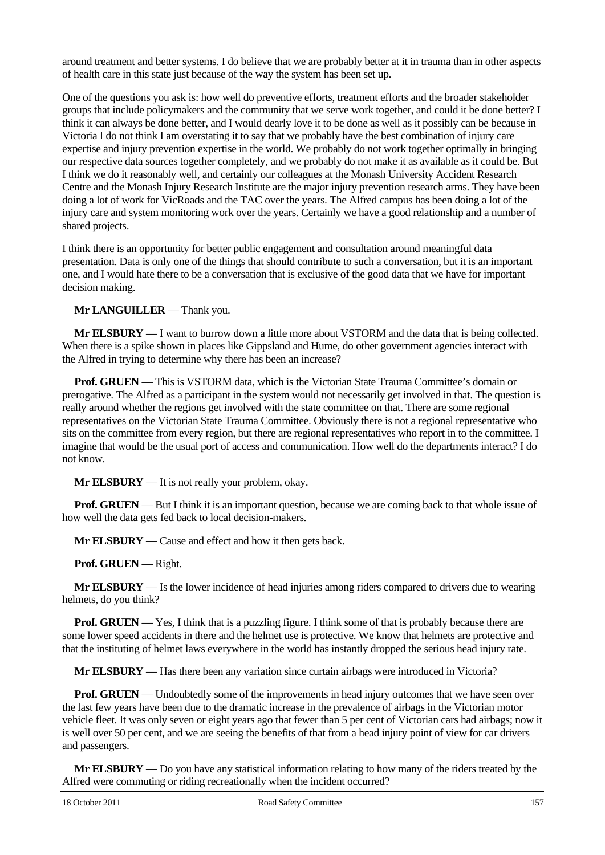around treatment and better systems. I do believe that we are probably better at it in trauma than in other aspects of health care in this state just because of the way the system has been set up.

One of the questions you ask is: how well do preventive efforts, treatment efforts and the broader stakeholder groups that include policymakers and the community that we serve work together, and could it be done better? I think it can always be done better, and I would dearly love it to be done as well as it possibly can be because in Victoria I do not think I am overstating it to say that we probably have the best combination of injury care expertise and injury prevention expertise in the world. We probably do not work together optimally in bringing our respective data sources together completely, and we probably do not make it as available as it could be. But I think we do it reasonably well, and certainly our colleagues at the Monash University Accident Research Centre and the Monash Injury Research Institute are the major injury prevention research arms. They have been doing a lot of work for VicRoads and the TAC over the years. The Alfred campus has been doing a lot of the injury care and system monitoring work over the years. Certainly we have a good relationship and a number of shared projects.

I think there is an opportunity for better public engagement and consultation around meaningful data presentation. Data is only one of the things that should contribute to such a conversation, but it is an important one, and I would hate there to be a conversation that is exclusive of the good data that we have for important decision making.

**Mr LANGUILLER** — Thank you.

**Mr ELSBURY** — I want to burrow down a little more about VSTORM and the data that is being collected. When there is a spike shown in places like Gippsland and Hume, do other government agencies interact with the Alfred in trying to determine why there has been an increase?

**Prof. GRUEN** — This is VSTORM data, which is the Victorian State Trauma Committee's domain or prerogative. The Alfred as a participant in the system would not necessarily get involved in that. The question is really around whether the regions get involved with the state committee on that. There are some regional representatives on the Victorian State Trauma Committee. Obviously there is not a regional representative who sits on the committee from every region, but there are regional representatives who report in to the committee. I imagine that would be the usual port of access and communication. How well do the departments interact? I do not know.

**Mr ELSBURY** — It is not really your problem, okay.

**Prof. GRUEN** — But I think it is an important question, because we are coming back to that whole issue of how well the data gets fed back to local decision-makers.

**Mr ELSBURY** — Cause and effect and how it then gets back.

**Prof. GRUEN** — Right.

**Mr ELSBURY** — Is the lower incidence of head injuries among riders compared to drivers due to wearing helmets, do you think?

**Prof. GRUEN** — Yes, I think that is a puzzling figure. I think some of that is probably because there are some lower speed accidents in there and the helmet use is protective. We know that helmets are protective and that the instituting of helmet laws everywhere in the world has instantly dropped the serious head injury rate.

**Mr ELSBURY** — Has there been any variation since curtain airbags were introduced in Victoria?

**Prof. GRUEN** — Undoubtedly some of the improvements in head injury outcomes that we have seen over the last few years have been due to the dramatic increase in the prevalence of airbags in the Victorian motor vehicle fleet. It was only seven or eight years ago that fewer than 5 per cent of Victorian cars had airbags; now it is well over 50 per cent, and we are seeing the benefits of that from a head injury point of view for car drivers and passengers.

**Mr ELSBURY** — Do you have any statistical information relating to how many of the riders treated by the Alfred were commuting or riding recreationally when the incident occurred?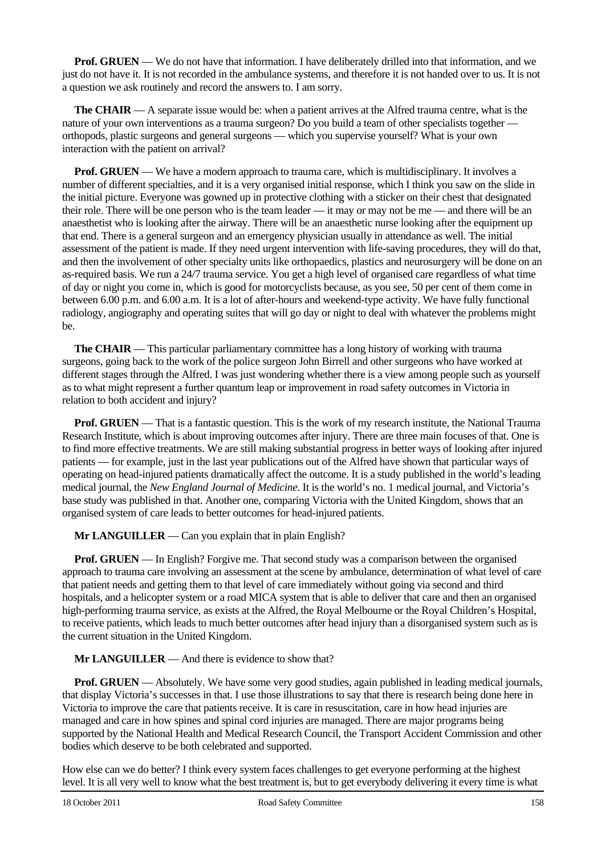**Prof. GRUEN** — We do not have that information. I have deliberately drilled into that information, and we just do not have it. It is not recorded in the ambulance systems, and therefore it is not handed over to us. It is not a question we ask routinely and record the answers to. I am sorry.

**The CHAIR** — A separate issue would be: when a patient arrives at the Alfred trauma centre, what is the nature of your own interventions as a trauma surgeon? Do you build a team of other specialists together orthopods, plastic surgeons and general surgeons — which you supervise yourself? What is your own interaction with the patient on arrival?

**Prof. GRUEN** — We have a modern approach to trauma care, which is multidisciplinary. It involves a number of different specialties, and it is a very organised initial response, which I think you saw on the slide in the initial picture. Everyone was gowned up in protective clothing with a sticker on their chest that designated their role. There will be one person who is the team leader — it may or may not be me — and there will be an anaesthetist who is looking after the airway. There will be an anaesthetic nurse looking after the equipment up that end. There is a general surgeon and an emergency physician usually in attendance as well. The initial assessment of the patient is made. If they need urgent intervention with life-saving procedures, they will do that, and then the involvement of other specialty units like orthopaedics, plastics and neurosurgery will be done on an as-required basis. We run a 24/7 trauma service. You get a high level of organised care regardless of what time of day or night you come in, which is good for motorcyclists because, as you see, 50 per cent of them come in between 6.00 p.m. and 6.00 a.m. It is a lot of after-hours and weekend-type activity. We have fully functional radiology, angiography and operating suites that will go day or night to deal with whatever the problems might be.

**The CHAIR** — This particular parliamentary committee has a long history of working with trauma surgeons, going back to the work of the police surgeon John Birrell and other surgeons who have worked at different stages through the Alfred. I was just wondering whether there is a view among people such as yourself as to what might represent a further quantum leap or improvement in road safety outcomes in Victoria in relation to both accident and injury?

**Prof. GRUEN** — That is a fantastic question. This is the work of my research institute, the National Trauma Research Institute, which is about improving outcomes after injury. There are three main focuses of that. One is to find more effective treatments. We are still making substantial progress in better ways of looking after injured patients — for example, just in the last year publications out of the Alfred have shown that particular ways of operating on head-injured patients dramatically affect the outcome. It is a study published in the world's leading medical journal, the *New England Journal of Medicine*. It is the world's no. 1 medical journal, and Victoria's base study was published in that. Another one, comparing Victoria with the United Kingdom, shows that an organised system of care leads to better outcomes for head-injured patients.

**Mr LANGUILLER** — Can you explain that in plain English?

**Prof. GRUEN** — In English? Forgive me. That second study was a comparison between the organised approach to trauma care involving an assessment at the scene by ambulance, determination of what level of care that patient needs and getting them to that level of care immediately without going via second and third hospitals, and a helicopter system or a road MICA system that is able to deliver that care and then an organised high-performing trauma service, as exists at the Alfred, the Royal Melbourne or the Royal Children's Hospital, to receive patients, which leads to much better outcomes after head injury than a disorganised system such as is the current situation in the United Kingdom.

**Mr LANGUILLER** — And there is evidence to show that?

**Prof. GRUEN** — Absolutely. We have some very good studies, again published in leading medical journals, that display Victoria's successes in that. I use those illustrations to say that there is research being done here in Victoria to improve the care that patients receive. It is care in resuscitation, care in how head injuries are managed and care in how spines and spinal cord injuries are managed. There are major programs being supported by the National Health and Medical Research Council, the Transport Accident Commission and other bodies which deserve to be both celebrated and supported.

How else can we do better? I think every system faces challenges to get everyone performing at the highest level. It is all very well to know what the best treatment is, but to get everybody delivering it every time is what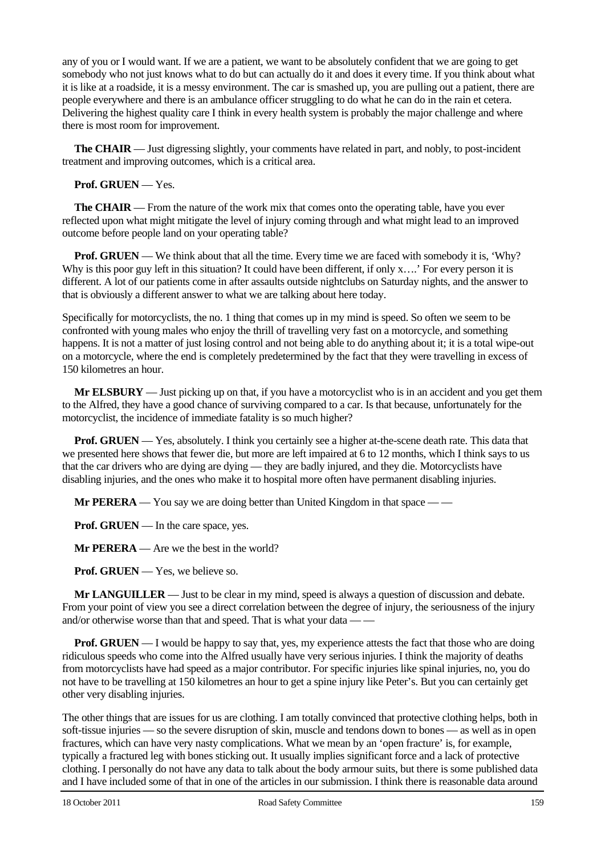any of you or I would want. If we are a patient, we want to be absolutely confident that we are going to get somebody who not just knows what to do but can actually do it and does it every time. If you think about what it is like at a roadside, it is a messy environment. The car is smashed up, you are pulling out a patient, there are people everywhere and there is an ambulance officer struggling to do what he can do in the rain et cetera. Delivering the highest quality care I think in every health system is probably the major challenge and where there is most room for improvement.

**The CHAIR** — Just digressing slightly, your comments have related in part, and nobly, to post-incident treatment and improving outcomes, which is a critical area.

#### **Prof. GRUEN** — Yes.

**The CHAIR** — From the nature of the work mix that comes onto the operating table, have you ever reflected upon what might mitigate the level of injury coming through and what might lead to an improved outcome before people land on your operating table?

**Prof. GRUEN** — We think about that all the time. Every time we are faced with somebody it is, 'Why? Why is this poor guy left in this situation? It could have been different, if only x….' For every person it is different. A lot of our patients come in after assaults outside nightclubs on Saturday nights, and the answer to that is obviously a different answer to what we are talking about here today.

Specifically for motorcyclists, the no. 1 thing that comes up in my mind is speed. So often we seem to be confronted with young males who enjoy the thrill of travelling very fast on a motorcycle, and something happens. It is not a matter of just losing control and not being able to do anything about it; it is a total wipe-out on a motorcycle, where the end is completely predetermined by the fact that they were travelling in excess of 150 kilometres an hour.

**Mr ELSBURY** — Just picking up on that, if you have a motorcyclist who is in an accident and you get them to the Alfred, they have a good chance of surviving compared to a car. Is that because, unfortunately for the motorcyclist, the incidence of immediate fatality is so much higher?

**Prof. GRUEN** — Yes, absolutely. I think you certainly see a higher at-the-scene death rate. This data that we presented here shows that fewer die, but more are left impaired at 6 to 12 months, which I think says to us that the car drivers who are dying are dying — they are badly injured, and they die. Motorcyclists have disabling injuries, and the ones who make it to hospital more often have permanent disabling injuries.

**Mr PERERA** — You say we are doing better than United Kingdom in that space — —

**Prof. GRUEN** — In the care space, yes.

**Mr PERERA** — Are we the best in the world?

**Prof. GRUEN** — Yes, we believe so.

**Mr LANGUILLER** — Just to be clear in my mind, speed is always a question of discussion and debate. From your point of view you see a direct correlation between the degree of injury, the seriousness of the injury and/or otherwise worse than that and speed. That is what your data — —

**Prof. GRUEN** — I would be happy to say that, yes, my experience attests the fact that those who are doing ridiculous speeds who come into the Alfred usually have very serious injuries. I think the majority of deaths from motorcyclists have had speed as a major contributor. For specific injuries like spinal injuries, no, you do not have to be travelling at 150 kilometres an hour to get a spine injury like Peter's. But you can certainly get other very disabling injuries.

The other things that are issues for us are clothing. I am totally convinced that protective clothing helps, both in soft-tissue injuries — so the severe disruption of skin, muscle and tendons down to bones — as well as in open fractures, which can have very nasty complications. What we mean by an 'open fracture' is, for example, typically a fractured leg with bones sticking out. It usually implies significant force and a lack of protective clothing. I personally do not have any data to talk about the body armour suits, but there is some published data and I have included some of that in one of the articles in our submission. I think there is reasonable data around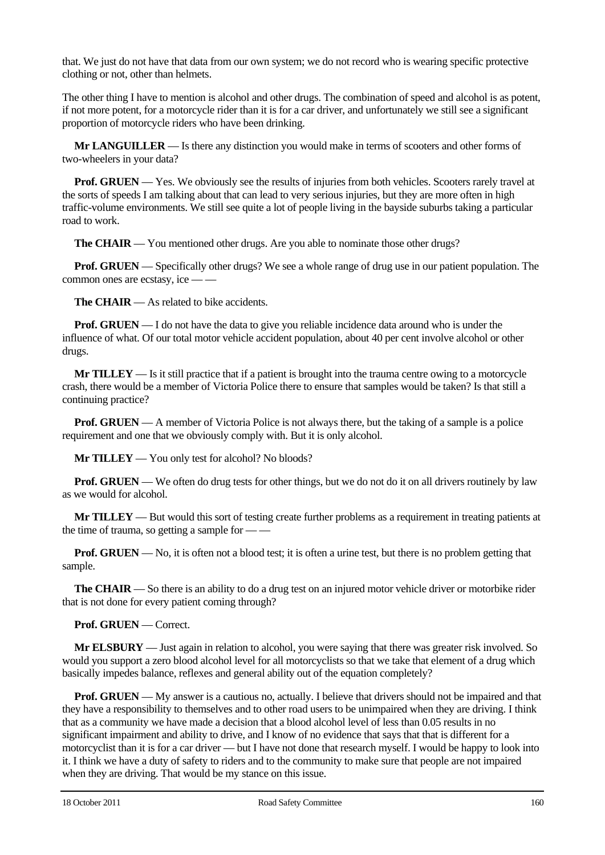that. We just do not have that data from our own system; we do not record who is wearing specific protective clothing or not, other than helmets.

The other thing I have to mention is alcohol and other drugs. The combination of speed and alcohol is as potent, if not more potent, for a motorcycle rider than it is for a car driver, and unfortunately we still see a significant proportion of motorcycle riders who have been drinking.

**Mr LANGUILLER** — Is there any distinction you would make in terms of scooters and other forms of two-wheelers in your data?

**Prof. GRUEN** — Yes. We obviously see the results of injuries from both vehicles. Scooters rarely travel at the sorts of speeds I am talking about that can lead to very serious injuries, but they are more often in high traffic-volume environments. We still see quite a lot of people living in the bayside suburbs taking a particular road to work.

**The CHAIR** — You mentioned other drugs. Are you able to nominate those other drugs?

**Prof. GRUEN** — Specifically other drugs? We see a whole range of drug use in our patient population. The common ones are ecstasy, ice — —

**The CHAIR** — As related to bike accidents.

**Prof. GRUEN** — I do not have the data to give you reliable incidence data around who is under the influence of what. Of our total motor vehicle accident population, about 40 per cent involve alcohol or other drugs.

**Mr TILLEY** — Is it still practice that if a patient is brought into the trauma centre owing to a motorcycle crash, there would be a member of Victoria Police there to ensure that samples would be taken? Is that still a continuing practice?

**Prof. GRUEN** — A member of Victoria Police is not always there, but the taking of a sample is a police requirement and one that we obviously comply with. But it is only alcohol.

**Mr TILLEY** — You only test for alcohol? No bloods?

**Prof. GRUEN** — We often do drug tests for other things, but we do not do it on all drivers routinely by law as we would for alcohol.

**Mr TILLEY** — But would this sort of testing create further problems as a requirement in treating patients at the time of trauma, so getting a sample for  $-\frac{1}{x}$ 

**Prof. GRUEN** — No, it is often not a blood test; it is often a urine test, but there is no problem getting that sample.

**The CHAIR** — So there is an ability to do a drug test on an injured motor vehicle driver or motorbike rider that is not done for every patient coming through?

**Prof. GRUEN** — Correct.

**Mr ELSBURY** — Just again in relation to alcohol, you were saying that there was greater risk involved. So would you support a zero blood alcohol level for all motorcyclists so that we take that element of a drug which basically impedes balance, reflexes and general ability out of the equation completely?

**Prof. GRUEN** — My answer is a cautious no, actually. I believe that drivers should not be impaired and that they have a responsibility to themselves and to other road users to be unimpaired when they are driving. I think that as a community we have made a decision that a blood alcohol level of less than 0.05 results in no significant impairment and ability to drive, and I know of no evidence that says that that is different for a motorcyclist than it is for a car driver — but I have not done that research myself. I would be happy to look into it. I think we have a duty of safety to riders and to the community to make sure that people are not impaired when they are driving. That would be my stance on this issue.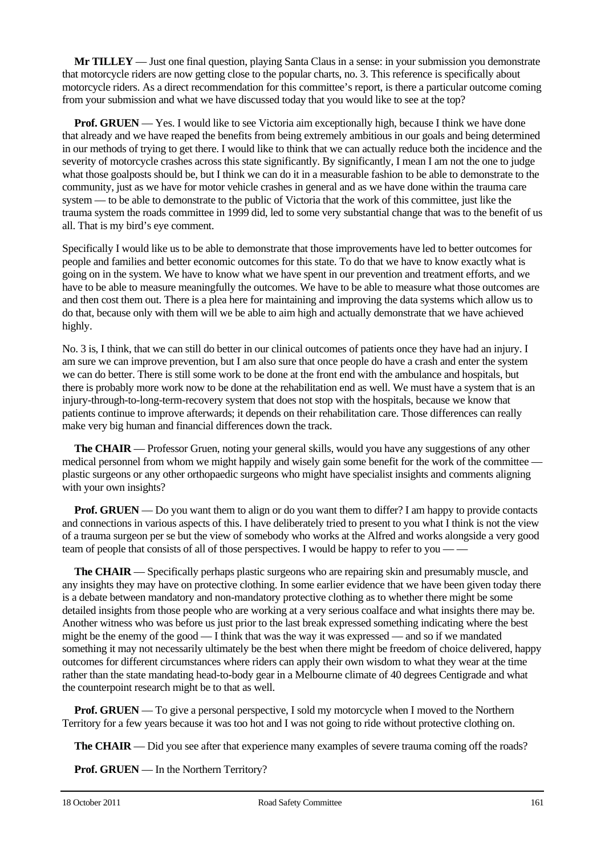**Mr TILLEY** — Just one final question, playing Santa Claus in a sense: in your submission you demonstrate that motorcycle riders are now getting close to the popular charts, no. 3. This reference is specifically about motorcycle riders. As a direct recommendation for this committee's report, is there a particular outcome coming from your submission and what we have discussed today that you would like to see at the top?

**Prof. GRUEN** — Yes. I would like to see Victoria aim exceptionally high, because I think we have done that already and we have reaped the benefits from being extremely ambitious in our goals and being determined in our methods of trying to get there. I would like to think that we can actually reduce both the incidence and the severity of motorcycle crashes across this state significantly. By significantly, I mean I am not the one to judge what those goalposts should be, but I think we can do it in a measurable fashion to be able to demonstrate to the community, just as we have for motor vehicle crashes in general and as we have done within the trauma care system — to be able to demonstrate to the public of Victoria that the work of this committee, just like the trauma system the roads committee in 1999 did, led to some very substantial change that was to the benefit of us all. That is my bird's eye comment.

Specifically I would like us to be able to demonstrate that those improvements have led to better outcomes for people and families and better economic outcomes for this state. To do that we have to know exactly what is going on in the system. We have to know what we have spent in our prevention and treatment efforts, and we have to be able to measure meaningfully the outcomes. We have to be able to measure what those outcomes are and then cost them out. There is a plea here for maintaining and improving the data systems which allow us to do that, because only with them will we be able to aim high and actually demonstrate that we have achieved highly.

No. 3 is, I think, that we can still do better in our clinical outcomes of patients once they have had an injury. I am sure we can improve prevention, but I am also sure that once people do have a crash and enter the system we can do better. There is still some work to be done at the front end with the ambulance and hospitals, but there is probably more work now to be done at the rehabilitation end as well. We must have a system that is an injury-through-to-long-term-recovery system that does not stop with the hospitals, because we know that patients continue to improve afterwards; it depends on their rehabilitation care. Those differences can really make very big human and financial differences down the track.

**The CHAIR** — Professor Gruen, noting your general skills, would you have any suggestions of any other medical personnel from whom we might happily and wisely gain some benefit for the work of the committee plastic surgeons or any other orthopaedic surgeons who might have specialist insights and comments aligning with your own insights?

**Prof. GRUEN** — Do you want them to align or do you want them to differ? I am happy to provide contacts and connections in various aspects of this. I have deliberately tried to present to you what I think is not the view of a trauma surgeon per se but the view of somebody who works at the Alfred and works alongside a very good team of people that consists of all of those perspectives. I would be happy to refer to you — —

**The CHAIR** — Specifically perhaps plastic surgeons who are repairing skin and presumably muscle, and any insights they may have on protective clothing. In some earlier evidence that we have been given today there is a debate between mandatory and non-mandatory protective clothing as to whether there might be some detailed insights from those people who are working at a very serious coalface and what insights there may be. Another witness who was before us just prior to the last break expressed something indicating where the best might be the enemy of the good  $-I$  think that was the way it was expressed — and so if we mandated something it may not necessarily ultimately be the best when there might be freedom of choice delivered, happy outcomes for different circumstances where riders can apply their own wisdom to what they wear at the time rather than the state mandating head-to-body gear in a Melbourne climate of 40 degrees Centigrade and what the counterpoint research might be to that as well.

**Prof. GRUEN** — To give a personal perspective, I sold my motorcycle when I moved to the Northern Territory for a few years because it was too hot and I was not going to ride without protective clothing on.

**The CHAIR** — Did you see after that experience many examples of severe trauma coming off the roads?

**Prof. GRUEN** — In the Northern Territory?